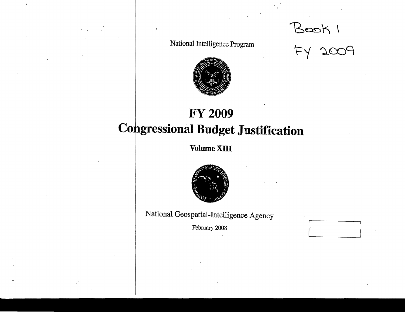Book 1<br>Fy 2009

National Intelligence Program



## **FY 2009 Congressional Budget Justification**

Volume XIII



National Geospatial-Intelligence Agency

February 2008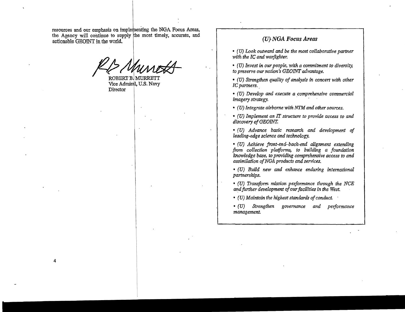resources and our emphasis on implementing the NGA Focus Areas, the Agency will continue to supply the most timely, accurate, and actionable GEOINT in the world.

 $\mathbb{Z}/7$ Munok

ROBERT BJMURRETT Vice Admiral, U.S. Navy **Director** 

4

### (U,NGA *Focus Areas*

*• (U) Look outward and be the most collaborative partner*  with the IC and warfighter.

• (U) *Invest in our people, with a commitment to diversity, to preserve our nation's* GEOINT *advantage.* 

• (U) *Strengthen quality of analysis in concert with other IC partners.* 

• (U) *Develop and execute a comprehensive commercial i* (*v*) strengthen quality of analysis in each C partners.<br> *iC partners.*<br>
• (*U*) Develop and execute a compreher<br>
imagery strategy.

• (U) *Integrate airborne with NTM and other sources.* 

• (U) *Implement an* IT *structure to provide access to and discovery of*GEOINT.

• (U) *Advance basic research and development of leading-edge science and technology.* 

• (U) *Achieve front-end-back-end alignment extending from collec.tion 'platforms, to building a foundation knowledge base, to providing comprehensive access to and assimilation ofNGA products and services.* 

• (U) *Build new and enhance enduring international partnerships.* 

*• (U) Traruform mission performance through the NCE*  and further development of our facilities in the West.

• (U) Maintain the highest standards of conduct.

• (U) *Strengthen governance and performance management.*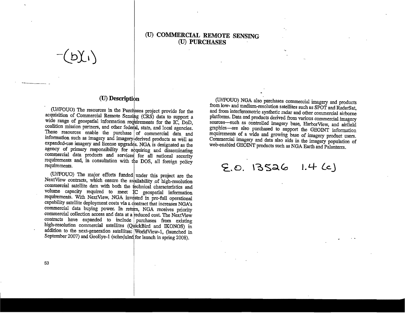### (U) **COMMERCIAL REMOTE** SENSING (U) **PURCHASES**

 $(b)(i)$ 

-------

#### (U) Description

. (UIIFOUO) The resources in the Purcliases project provide for the acquisition of Commercial Remote Sensing (CRS) data to support a wide range of geospatial information requirements for the IC, DoD, coalition mission partners, and other federal, state, and local agencies. These resources enable the purchase of commercial data and information such as imagery and imagery derived products as well as expanded-use imagery and license upgrades. NGA is designated as the agency of primary responsibility for abquiring and disseminating commercial data products and services for all national security requirements and, in consultation with the DOS, all foreign policy requirements.

(U//FOUO) The major efforts funded under this project are the NextView contracts, which ensure the availability of high-resolution commercial satellite data with both the technical characteristics and volume capacity required to meet IC geospatial information requirements. With NextView, NGA invdsted in pre-full operational capability satellite deployment costs via a contract that increases NGA's commercial data buying power. In return, NGA receives priority commercial collection access and data at a reduced cost. The NextView contracts have expanded to include purchases from existing high-resolution commercial satellites (QuickBird and IKONOS) in addition to the next-generation satellites: IWOrldView-l, (launched in September 2007) and GeoEye-1 (scheduled for launch in spring 2008).

(U/IFOUO) NGA also purchases commercial imagery and products from low- and medium-resolution satellites such as SPOT and RadarSat, and from interferometric synthetic radar and other commercial airborne platforms. Data and products derived from various commercial. imagery sources-such as controlled imagery base, HarborView, and airfield graphics-are also purchased to support the GEOINT information requirements of a wide and growing base of imagery product users. Commercial imagery and data also aids in the imagery population of web-enabled GEOINT products such as NGA Earth and Palanterra.

 $[5, 0, 13526 \quad 1.4 (c)]$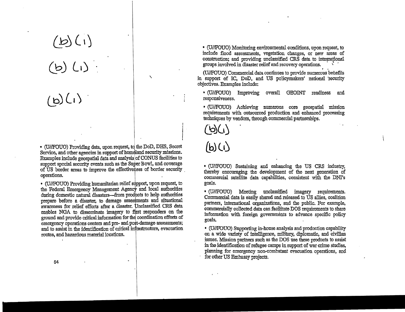# $(b)(i)$ **(b)** *La)*

**Lb) LI ') .** 

• CO/IFOUO) Providing data, upon request. td the DoD, DRS, Secret Service, and other agencies in support of homeland security missions. Examples include geospatial data and analysis of CONUS facilities to support special security events such as the Super Bowl, and coverage of US border areas to improve the effectiveness of border security operations. Service, and other agencies in support of homeland security mission<br>Examples include geospatial data and analysis of CONUS facilities<br>upport special security events such as the Super Bowl, and cover<br>of US border areas to i

 $\lambda$ 

• (U//FOUO) Providing humanitarian relief support, upon request, to the Federal Emergency Management Agency and local authorities during domestic natural disasters---from products to help authorities prepare before a disaster, to damage assessments and situational awareness for relief efforts after a disaster. Unclassified CRS data enables NGA to disseminate imagery to first responders on the ground and provide critical information for the coordination efforts of emergency operations centers and pre- and post-damage assessments; and to assist in the identification of critical infrastructure, evacuation routes, and hazardous material locations.

*• CO/IFOUO)* Monitoring environmental conditions, upon request, to include flood assessments, vegetation changes, or new areas of construction; and providing unclassified CRS data to international groups involved in disaster relief and recovery operations.

(U//FOUO) Commercial data continues to provide numerous benefits in support of IC, DoD, and US policymakers' national 'security objectives. Examples include:

• CO/IFOUO) Improving overall GEOJNT readiness and responsiveness.

*• CO/IFOUO)* Achieving numerous core geospatial mission requirements with outsourced production and enhanced processing techniques by vendors, through commercial partnerships.

 $(b)($ 

### **Lb)(IJ**

• (U//FOUO) Sustaining and enhancing the US CRS industry, thereby encouraging the development of the next generation of commercial satellite data capabilities, consistent with the DNI's goals.

*• CO/IFOUO)* Meeting unclassified imagery requirements. Commercial data is easily shared and released to US allies, coalition parmers, intemational organizations, and the public. For example. commercially collected data can facilitate DOS requirements to share information with foreign governments to advance specific policy goals.

• (U//FOUO) Supporting in-house analysis and production capability on a wide variety of intelligence, military, diplomatic, and civilian issues. Mission partners such as the DOS use these products to assist in the identification of refugee camps in support of war crime studies, planning for emergency non~combatant evacuation operations, and for other US Embassy projects.

54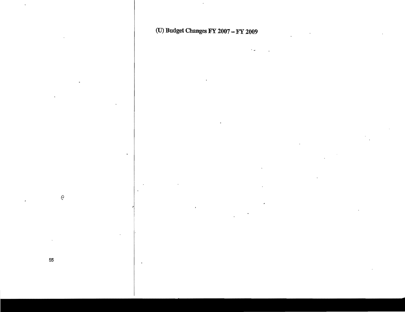(U) Budget Changes FY 2007 - FY 2009

 $\mathcal{Q}$ 

55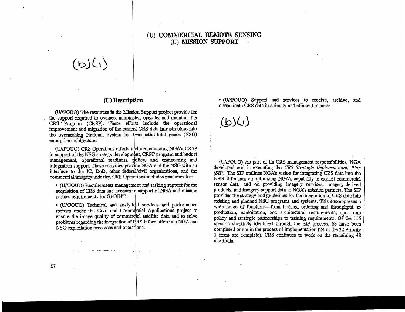### (U) **COMMERCIAL REMOTE SENSING**  (TI) **MISSION SUPPORT**

# **(bJL\)**

### ! CO) **Description**

(U//FOUO) The resources in the Mission Support project provide for the support required to oversee, administer, operate, and maintain the CRS Program (CRSP). These efforts include the operational improvement and migration of the current CRS data infrastructure into the overarching National System for Geospatial-Intelligence (NSG) enterprise architecture.

(U//FOUO) CRS Operations efforts include managing NGA's CRSP in support of the NSG strategy development. CRSP program and budget management, operational readiness, policy, and engineering and integration support. These activities provide NOA and the NSO with an interface to the IC, DoD, other federal/civil organizations, and the commercial imagery industry. CRS Operations includes resources for:

• (U//FOUO) Requirements management and tasking support for the acquisition of CRS data and licenses in support of NGA and mission partner requirements for GEOINT. examples of the set of the set of the set of the set of the acquisition of CRS data and licenses in support partner requirements for GEOINT.

• (U//FOUO) Technical and analytical services and performance metrics under the Civil and Commercial Applications project to ensure the image quality of commerdial satellite data and to solve problems regarding the integration of dRS information into NOA and NSG exploitation processes and operations.

.1.

• (O/IFOUO) Support and services to receive, archive, and disseminate CRS data in a timely and efficient manner.

**.Lb.)(IJ** 

(OIIFOUO) As part of its CRS management responsibilities, NGA developed and is executing the CRS Strategic Implementation Plan *(SIP)*. The SIP outlines NGA's vision for integrating CRS data into the NSG It focuses on optimizing NONs capability to exploit commercial sensor data, and on providing imagery services, imagery-derived products, and imagery support data to NGA's mission partners. The SIP provides the strategy and guidelines for the integration of CRS data into existing and planned NSG programs and systems. This encompasses a wide range of functions-from tasking, ordering and throughput, to production, exploitation, and architectural requirements; and from policy and strategic partnerships to training requirements. Of the 116 specific shortfalls identified through the SIP process, 68 have been completed or are in the process of implementation (24 of the 32 Priority 1 items are complete}. CRS continues to work on the remaining 48, shortfalls .